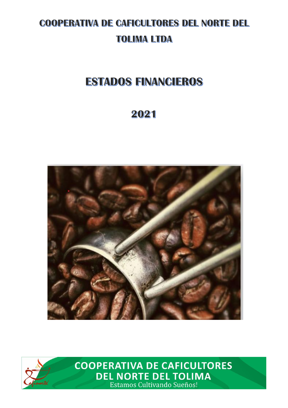# **COOPERATIVA DE CAFICULTORES DEL NORTE DEL TOLIMA LTDA**

# **ESTADOS FINANCIEROS**

# 2021





**COOPERATIVA DE CAFICULTORES DEL NORTE DEL TOLIMA**<br>Estamos Cultivando Sueños!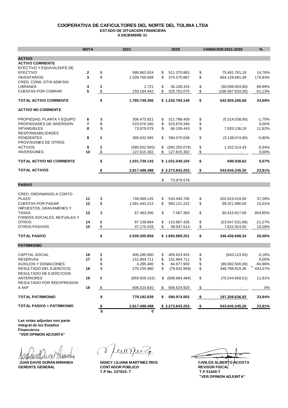#### **COOPERATIVA DE CAFICULTORES DEL NORTE DEL TOLIMA LTDA ESTADO DE SITUACION FINANCIERA A DICIEMBRE 31**

|                                                | <b>NOTA</b> |               | 2021                      |          | 2020                      |               | <b>VARIACION 2021-2020</b> | %                              |
|------------------------------------------------|-------------|---------------|---------------------------|----------|---------------------------|---------------|----------------------------|--------------------------------|
| <b>ACTIVO</b>                                  |             |               |                           |          |                           |               |                            |                                |
| <b>ACTIVO CORRIENTE</b>                        |             |               |                           |          |                           |               |                            |                                |
| EFECTIVO Y EQUIVALENTE DE                      |             |               |                           |          |                           |               |                            |                                |
| <b>EFECTIVO</b>                                | 2           | \$            | 586.862.624               | \$       | 511.370.863               | \$            | 75.491.761,19              | 14,76%                         |
| <b>INVENTARIOS</b>                             | 3           | \$            | 1.039.700.568             | \$       | 375.570.887               | \$            | 664.129.681,49             | 176,83%                        |
| CRED. CONS. GTIA ADM SIN                       |             |               |                           |          |                           |               |                            |                                |
| LIBRANZA                                       | 4           | \$            | 1.721                     | \$       | 30.100.324                | \$            | (30.098.603,00)            | -99,99%                        |
| <b>CUENTAS POR COBRAR</b>                      | 5           | \$            | 159.184.442               | \$       | 325.752.075               | \$            | (166.567.633,00)           | -51,13%                        |
| <b>TOTAL ACTIVO CORRIENTE</b>                  |             | \$            | 1.785.749.356             |          | \$1.242.794.149           | \$            | 542.955.206,68             | 43,69%                         |
| <b>ACTIVO NO CORRIENTE</b>                     |             |               |                           |          |                           |               |                            |                                |
|                                                |             |               |                           |          |                           |               |                            |                                |
| PROPIEDAD, PLANTA Y EQUIPO                     | 6           | \$            | 306.473.921               | \$       | 311.788.459               | \$            | (5.314.538,00)             | $-1,70%$                       |
| PROPIEDADES DE INVERSION<br><b>INTANGIBLES</b> | 7<br>8      | \$<br>\$      | 523.670.340<br>73.979.579 | \$<br>\$ | 523.670.340<br>66.159.443 | \$<br>\$      | 7.820.136,19               | 0,00%<br>11,82%                |
| <b>RESPONSABILIDADES</b>                       |             |               |                           |          |                           |               |                            |                                |
| <b>PENDIENTES</b>                              | 9           | \$            | 390.932.565               | \$       | 394.070.639               | \$            | (3.138.074,00)             | $-0,80%$                       |
| PROVISIONES DE OTROS                           |             |               |                           |          |                           |               |                            |                                |
| <b>ACTIVOS</b>                                 | 9           | \$            | (390.932.565)             | \$       | (392.255.079)             | \$            | 1.322.514,43               | $-0,34%$                       |
| <b>INVERSIONES</b>                             | 10          | \$            | 127.615.302               | \$       | 127.615.302               | \$            |                            | 0,00%                          |
| <b>TOTAL ACTIVO NO CORRIENTE</b>               |             | \$            | 1.031.739.143             |          | \$1.031.049.104           | \$            | 690.038,62                 | 0,07%                          |
| <b>TOTAL ACTIVOS</b>                           |             | \$            | 2.817.488.498             |          | \$2.273.843.253           | $\frac{1}{2}$ | 543.645.245,30             | 23,91%                         |
|                                                |             |               |                           |          |                           |               |                            |                                |
|                                                |             |               |                           | \$       | 73.979.579                |               |                            |                                |
| <b>PASIVO</b>                                  |             |               |                           |          |                           |               |                            |                                |
| <b>CRED. ORDINARIOS A CORTO</b>                |             |               |                           |          |                           |               |                            |                                |
| <b>PLAZO</b>                                   | 11          | \$            | 746.069.125               | \$       | 543.445.706               | \$            | 202.623.419,00             | 37,28%                         |
| <b>CUENTAS POR PAGAR</b>                       | 12          | \$            | 1.091.443.212             | \$       | 992.121.222               | \$            | 99.321.990,00              | 10,01%                         |
| IMPUESTOS, GRAVAMENES Y                        |             |               |                           |          |                           |               |                            |                                |
| TASAS                                          | 13          | \$            | 67.483.200                | \$       | 7.067.383                 | \$            | 60.415.817,00              | 854,85%                        |
| FONDOS SOCIALES, MUTUALES Y                    |             |               |                           |          |                           |               |                            |                                |
| <b>OTROS</b>                                   | 14          | \$            | 87.139.894                | \$       | 110.687.426               | \$            | (23.547.531.66)            | $-21,27%$                      |
| OTROS PASIVOS                                  | 15          | \$            | 47.170.428                | \$       | 39.547.514                | \$            | 7.622.914,00               | 19,28%                         |
| <b>TOTAL PASIVO</b>                            |             | \$            | 2.039.305.859             |          | \$1.692.869.251           | \$            | 346.436.608,34             | 20,46%                         |
| <b>PATRIMONIO</b>                              |             |               |                           |          |                           |               |                            |                                |
|                                                |             |               |                           |          |                           |               |                            |                                |
| <b>CAPITAL SOCIAL</b>                          | 16          | \$            | 405.280.800               | \$       | 405.923.924               | \$            | (643.123,93)               | $-0,16%$                       |
| RESERVAS<br>AUXILIOS Y DONACIONES              | 17          | \$            | 151.864.711<br>4.285.400  | \$       | 151.864.711<br>84.977.900 | \$            | (80.692.500,00)            | 0,00%                          |
| RESULTADO DEL EJERCICIO                        | 18          | \$<br>\$      | 270.155.960               | \$       | (78.632.959)              | \$<br>\$      | 348.788.919,36             | -94,96%<br>$^{\prime}$ 443,57% |
| RESULTADO DE EJERCICIOS                        |             |               |                           |          |                           |               |                            |                                |
| ANTERIORES                                     | 18          | \$            | (659.929.152)             |          | \$ (589.684.494)          | \$            | (70.244.658, 51)           | 11,91%                         |
| RESULTADO POR REEXPRESION                      |             |               |                           |          |                           |               |                            |                                |
| A NIIF                                         | 18          | $\frac{3}{2}$ | 606.524.920               | \$       | 606.524.920               | -\$           |                            | 0%                             |
| <b>TOTAL PATRIMONIO</b>                        |             | \$            | 778.182.639               | \$       | 580.974.002               | - \$          | 197.208.636,92             | 33,94%                         |
| TOTAL PASIVO + PATRIMONIO                      |             | <u>\$</u>     | 2.817.488.498             |          | \$2.273.843.253           | -\$           | 543.645.245,26             | 23,91%                         |
|                                                |             | \$            | 0                         |          |                           |               |                            |                                |

**Las notas adjuntas son parte integral de los Estados Financieros "VER OPINION ADJUNTA"** 

rom fullOLLUVIII TTUandeg

ein kes.

**JUAN DAVID DURAN MIRANDA NANCY LILIANA MARTINEZ RIOS GERENTE GENERAL CONTADOR PÚBLICO T.P No. 237815- T T.P 51640-T**

**"VER OPINION ADJUNTA" REVISOR FISCAL CARLOS ALBERTO ACOSTA**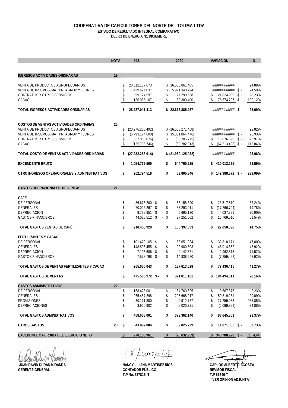#### **COOPERATIVA DE CAFICULTORES DEL NORTE DEL TOLIMA LTDA ESTADO DE RESULTADO INTEGRAL COMPARATIVO DEL 01 DE ENERO A 31 DICIEMBRE**

|                                                                              | <b>NOTA</b> |               | 2021                            |     |          | 2020                            |         | <b>VARIACION</b>                      | %                    |
|------------------------------------------------------------------------------|-------------|---------------|---------------------------------|-----|----------|---------------------------------|---------|---------------------------------------|----------------------|
| <b>INGRESOS ACTIVIDADES ORDINARIAS</b>                                       | 19          |               |                                 |     |          |                                 |         |                                       |                      |
|                                                                              |             |               |                                 |     |          |                                 |         |                                       |                      |
| VENTA DE PRODUCTOS AGROPECUARIOS<br>VENTA DE INSUMOS, MAT PRI AGROP Y FLORES |             | \$<br>\$      | 20.612.187.673<br>7.439.674.037 |     | \$<br>\$ | 16.505.861.405<br>5.971.343.794 |         | ############<br>############ \$ -     | 24,88%<br>24,59%     |
| <b>CONTRATOS Y OTROS SERVICIOS</b>                                           |             | \$            | 99.124.597                      |     | \$       | 77.299.658                      | S       | 21.824.939 \$-                        | 28,23%               |
| CACAO                                                                        |             | \$            | 136.055.107                     |     | \$       | 59.380.400                      | \$      | 76.674.707 \$-                        | 129,12%              |
| TOTAL INGRESOS ACTIVIDADES ORDINARIAS                                        |             | \$            | 28.287.041.413                  |     |          | \$22.613.885.257                |         | ############ \$ -                     | 25,09%               |
|                                                                              |             |               |                                 |     |          |                                 |         |                                       |                      |
| <b>COSTOS DE VENTAS ACTIVIDADES ORDINARIAS</b>                               | 20          |               |                                 |     |          |                                 |         |                                       |                      |
| VENTA DE PRODUCTOS AGROPECUARIOS                                             |             | \$            | (20.276.268.492)                |     |          | $$$ (16.508.271.468)            |         | ############                          | 22,82%               |
| VENTA DE INSUMOS, MAT PRI AGROP Y FLORES                                     |             | \$            | (6.793.174.600)                 |     | \$       | (5.351.864.476)                 |         | ############ \$ -                     | 26,93%               |
| CONTRATOS Y OTROS SERVICIOS<br>CACAO                                         |             | \$<br>\$      | (37.030.076)<br>(125.795.746)   |     | \$<br>\$ | (50.706.775)<br>(58.282.313)    | \$<br>S | 13.676.699 \$-<br>$(67.513.433)$ \$ - | $-26,97%$<br>115,84% |
| TOTAL COSTO DE VENTAS ACTIVIDADES ORDINARIAS                                 |             | \$            | (27.232.268.914)                |     |          | $$$ (21.969.125.032)            |         | ############                          | 23,96%               |
| <b>EXCENDENTE BRUTO</b>                                                      |             | \$            | 1.054.772.500                   |     | \$       | 644.760.225                     | S.      | 410.012.275                           | 63,59%               |
|                                                                              |             |               |                                 |     |          |                                 |         |                                       |                      |
| OTRO INGRESOS OPERACIONALES Y ADMINISTRATIVOS                                |             | \$            | 202.794.518                     |     | \$       | 59.805.846                      |         | \$142.988.672 \$-                     | 239,09%              |
| <b>GASTOS OPERACIONALES DE VENTAS</b>                                        | 21          |               |                                 |     |          |                                 |         |                                       |                      |
| <b>CAFÉ</b>                                                                  |             |               |                                 |     |          |                                 |         |                                       |                      |
| DE PERSONAL                                                                  |             | \$            | 86.676.200 \$                   |     | - \$     | 63.158.390                      | \$      | 23.517.810                            | 37,24%               |
| <b>GENERALES</b>                                                             |             | \$            | 70.026.267 \$                   |     | - \$     | 87.293.011                      | \$      | (17.266.744)                          | $-19,78%$            |
| <b>DEPRECIACION</b>                                                          |             | \$            | 9.732.951                       | -\$ | - \$     | 5.695.130                       | \$      | 4.037.821                             | 70,90%               |
| <b>GASTOS FINANCIEROS</b>                                                    |             | \$            | 44.020.512 \$                   |     | - \$     | 27.251.002                      | \$      | 16.769.510                            | 61,54%               |
| <b>TOTAL GASTOS VENTAS DE CAFÉ</b>                                           |             | \$            | 210.455.929                     |     | \$       | 183.397.533                     | \$      | 27.058.396                            | 14,75%               |
| <b>FERTILIZANTES Y CACAO</b>                                                 |             |               |                                 |     |          |                                 |         |                                       |                      |
| DE PERSONAL                                                                  |             | \$            | $101.470.105$ \$-               |     | \$       | 68.651.934                      | \$      | 32.818.171                            | 47.80%               |
| <b>GENERALES</b>                                                             |             | \$            | 148.895.455 \$-                 |     | \$       | 99.980.603                      | \$      | 48.914.852                            | 48,92%               |
| <b>DEPRECIACION</b>                                                          |             | \$            | $7.105.686$ \$ -                |     | \$       | 4.142.871                       | \$      | 2.962.815                             | 71,52%               |
| <b>GASTOS FINANCIEROS</b>                                                    |             | \$            | 7.578.798 \$-                   |     | \$       | 14.838.220                      | \$      | (7.259.422)                           | -48,92%              |
| TOTAL GASTOS DE VENTAS FERTILIZANTES Y CACAO                                 |             | \$            | 265.050.043                     |     | \$       | 187.613.628                     | \$      | 77.436.415                            | 41,27%               |
| <b>TOTAL GASTOS DE VENTAS</b>                                                |             | \$            | 475.505.972 \$-                 |     | \$       | 371.011.161                     |         | \$104.494.811                         | 28,16%               |
| <b>GASTOS ADMINISTRATIVOS</b>                                                | 22          |               |                                 |     |          |                                 |         |                                       |                      |
| DE PERSONAL                                                                  |             | \$            | 168.428.001                     |     | \$       | 164.760.625                     | \$      | 3.667.376                             | 2,23%                |
| GENERALES                                                                    |             | \$            | 265.487.298                     |     | \$       | 205.668.017                     | \$      | 59.819.281                            | 29,09%               |
| <b>PROVISIONES</b>                                                           |             | \$            | 30.171.800                      |     | \$       | 2.912.767                       | \$      | 27.259.033                            | 935,85%              |
| <b>DEPRECIACIONES</b>                                                        |             | $\frac{1}{2}$ | 3.920.902                       |     | \$       | 6.020.731                       | \$      | (2.099.829)                           | -34,88%              |
| TOTAL GASTOS ADMINISTRATIVOS                                                 |             | \$            | 468.008.001                     |     | \$       | 379.362.140                     | \$      | 88.645.861                            | 23,37%               |
| <b>OTROS GASTOS</b>                                                          | 23          | \$            | 43.897.084                      |     | \$       | 32.825.729                      | \$      | $11.071.355$ \$-                      | 33,73%               |
|                                                                              |             |               |                                 |     |          |                                 |         |                                       |                      |

AUIL

Leurnes Z  $\delta$ 

**JUAN DAVID DURAN MIRANDA**<br>GERENTE GENERAL GEREAL CONTADOR PÚBLICO **GERENTE GENERAL CONTADOR PÚBLICO T.P No. 237815- T T.P 51640-T**

**"VER OPINION ADJUNTA" REVISOR FISCAL** CARLOS ALBERTO ACOSTA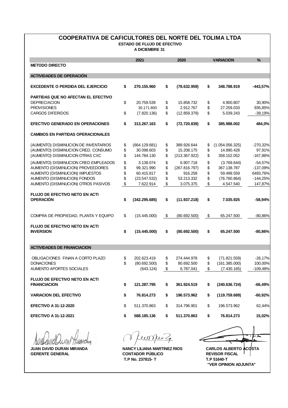#### **COOPERATIVA DE CAFICULTORES DEL NORTE DEL TOLIMA LTDA ESTADO DE FLUJO DE EFECTIVO**

**A DICIEMBRE 31** 

| 2021                                                                 |                                                                                                                                                       | 2020                                                                       |                                                                                                                                      | <b>VARIACION</b>                                                           | $\%$                                                                                                                                                 |
|----------------------------------------------------------------------|-------------------------------------------------------------------------------------------------------------------------------------------------------|----------------------------------------------------------------------------|--------------------------------------------------------------------------------------------------------------------------------------|----------------------------------------------------------------------------|------------------------------------------------------------------------------------------------------------------------------------------------------|
|                                                                      |                                                                                                                                                       |                                                                            |                                                                                                                                      |                                                                            |                                                                                                                                                      |
|                                                                      |                                                                                                                                                       |                                                                            |                                                                                                                                      |                                                                            |                                                                                                                                                      |
| \$<br>270.155.960                                                    | \$                                                                                                                                                    | (78.632.959)                                                               | \$                                                                                                                                   | 348.788.919                                                                | $-443,57%$                                                                                                                                           |
|                                                                      |                                                                                                                                                       |                                                                            |                                                                                                                                      |                                                                            |                                                                                                                                                      |
| \$<br>20.759.539                                                     | \$                                                                                                                                                    | 15.858.732                                                                 | \$                                                                                                                                   | 4.900.807                                                                  | 30,90%                                                                                                                                               |
| 30.171.800                                                           | \$                                                                                                                                                    | 2.912.767                                                                  | \$                                                                                                                                   | 27.259.033                                                                 | 935,85%                                                                                                                                              |
| \$<br>(7.820.136)                                                    | \$                                                                                                                                                    | (12.859.379)                                                               | \$                                                                                                                                   | 5.039.243                                                                  | $-39,19%$                                                                                                                                            |
| \$<br>313.267.163                                                    | \$                                                                                                                                                    | (72.720.839)                                                               | \$                                                                                                                                   | 385,988,002                                                                | 484,0%                                                                                                                                               |
|                                                                      |                                                                                                                                                       |                                                                            |                                                                                                                                      |                                                                            |                                                                                                                                                      |
|                                                                      |                                                                                                                                                       | 389.926.644                                                                |                                                                                                                                      |                                                                            | $-270,32%$                                                                                                                                           |
|                                                                      |                                                                                                                                                       |                                                                            |                                                                                                                                      |                                                                            | 97,91%                                                                                                                                               |
| \$<br>144.784.130                                                    | \$                                                                                                                                                    | (213.367.922)                                                              | \$                                                                                                                                   | 358.152.052                                                                | $-167,86%$                                                                                                                                           |
|                                                                      |                                                                                                                                                       |                                                                            |                                                                                                                                      |                                                                            | $-54,57%$                                                                                                                                            |
|                                                                      |                                                                                                                                                       |                                                                            |                                                                                                                                      |                                                                            | $-137,09%$                                                                                                                                           |
| 60.415.817                                                           |                                                                                                                                                       | 916.258                                                                    |                                                                                                                                      | 59.499.559                                                                 | 6493,76%                                                                                                                                             |
|                                                                      |                                                                                                                                                       |                                                                            |                                                                                                                                      |                                                                            | $-144,25%$                                                                                                                                           |
| \$<br>7.622.914                                                      | \$                                                                                                                                                    | 3.075.375                                                                  | \$                                                                                                                                   | 4.547.540                                                                  | 147,87%                                                                                                                                              |
|                                                                      |                                                                                                                                                       |                                                                            |                                                                                                                                      |                                                                            |                                                                                                                                                      |
|                                                                      |                                                                                                                                                       |                                                                            |                                                                                                                                      |                                                                            | $-58,94%$                                                                                                                                            |
|                                                                      |                                                                                                                                                       |                                                                            |                                                                                                                                      |                                                                            |                                                                                                                                                      |
|                                                                      |                                                                                                                                                       |                                                                            |                                                                                                                                      |                                                                            | $-80,86%$                                                                                                                                            |
|                                                                      |                                                                                                                                                       |                                                                            |                                                                                                                                      |                                                                            |                                                                                                                                                      |
|                                                                      |                                                                                                                                                       |                                                                            |                                                                                                                                      |                                                                            |                                                                                                                                                      |
|                                                                      |                                                                                                                                                       |                                                                            |                                                                                                                                      |                                                                            | $-80,86%$                                                                                                                                            |
|                                                                      |                                                                                                                                                       |                                                                            |                                                                                                                                      |                                                                            |                                                                                                                                                      |
|                                                                      |                                                                                                                                                       |                                                                            |                                                                                                                                      |                                                                            |                                                                                                                                                      |
| 202.623.419                                                          |                                                                                                                                                       | 274.444.978                                                                |                                                                                                                                      | (71.821.559)                                                               | $-26,17%$                                                                                                                                            |
| \$<br>(80.692.500)                                                   |                                                                                                                                                       | 80.692.500                                                                 |                                                                                                                                      | (161.385.000)                                                              | 100,00%                                                                                                                                              |
| (643.124)                                                            | \$                                                                                                                                                    | 6.787.041                                                                  | \$                                                                                                                                   | (7.430.165)                                                                | $-109,48%$                                                                                                                                           |
|                                                                      |                                                                                                                                                       |                                                                            |                                                                                                                                      |                                                                            |                                                                                                                                                      |
|                                                                      |                                                                                                                                                       |                                                                            |                                                                                                                                      |                                                                            | -66,49%                                                                                                                                              |
|                                                                      |                                                                                                                                                       |                                                                            |                                                                                                                                      |                                                                            |                                                                                                                                                      |
| \$<br>76.814.273                                                     | \$                                                                                                                                                    | 196.573.962                                                                | \$                                                                                                                                   | (119.759.689)                                                              | -60,92%                                                                                                                                              |
|                                                                      |                                                                                                                                                       |                                                                            |                                                                                                                                      |                                                                            |                                                                                                                                                      |
|                                                                      |                                                                                                                                                       |                                                                            |                                                                                                                                      |                                                                            | 62,44%                                                                                                                                               |
| \$<br>588.185.136                                                    | \$                                                                                                                                                    | 511.370.863                                                                | \$                                                                                                                                   | 76.814.273                                                                 | 15,02%                                                                                                                                               |
| \$<br>\$<br>\$<br>\$<br>\$<br>\$<br>\$<br>\$<br>\$<br>\$<br>\$<br>\$ | (664.129.681)<br>30.098.603<br>3.138.074<br>99.321.990<br>(23.547.532)<br>(342.295.685)<br>(15.445.000)<br>(15.445.000)<br>121.287.795<br>511.370.863 | \$<br>\$<br>\$<br>\$<br>\$<br>\$<br>\$<br>\$<br>\$<br>\$<br>\$<br>\$<br>\$ | 15.208.175<br>6.907.718<br>(267.816.797)<br>53.213.332<br>(11.937.218)<br>(80.692.500)<br>(80.692.500)<br>361.924.519<br>314.796.901 | \$<br>\$<br>\$<br>\$<br>\$<br>\$<br>\$<br>\$<br>\$<br>\$<br>\$<br>\$<br>\$ | (1.054.056.325)<br>14.890.428<br>(3.769.644)<br>367.138.787<br>(76.760.864)<br>7.035.925<br>65.247.500<br>65.247.500<br>(240.636.724)<br>196.573.962 |

**JUAN DAVID DURAN MIRANDA GERENTE GENERAL**

einker 20  $\delta$ 

**T.P No. 237815- T T.P 51640-T CONTADOR PÚBLICO REVISOR FISCAL**

<u>huu</u> NANCY LILIANA MARTINEZ RIOS CARLOS ALBERTO **ACOSTA "VER OPINION ADJUNTA"**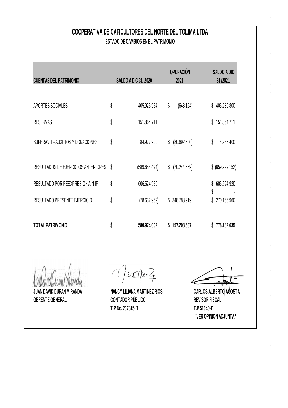# **COOPERATIVA DE CAFICULTORES DEL NORTE DEL TOLIMA LTDA ESTADO DE CAMBIOS EN EL PATRIMONIO**

| <b>CUENTAS DEL PATRIMONIO</b>       |    | <b>SALDO A DIC 31 /2020</b> |    | <b>OPERACIÓN</b><br>2021 |          | SALDO A DIC<br>31/2021 |
|-------------------------------------|----|-----------------------------|----|--------------------------|----------|------------------------|
|                                     |    |                             |    |                          |          |                        |
| APORTES SOCIALES                    | \$ | 405.923.924                 | \$ | (643.124)                |          | \$405.280.800          |
| <b>RESERVAS</b>                     | \$ | 151.864.711                 |    |                          | \$       | 151.864.711            |
| SUPERAVIT - AUXILIOS Y DONACIONES   | \$ | 84.977.900                  | \$ | (80.692.500)             | \$       | 4.285.400              |
| RESULTADOS DE EJERCICIOS ANTERIORES | S  | (589.684.494)               | \$ | (70.244.659)             |          | \$ (659.929.152)       |
| RESULTADO POR REEXPRESION A NIIF    | \$ | 606.524.920                 |    |                          | \$       | 606.524.920            |
| RESULTADO PRESENTE EJERCICIO        | \$ | (78.632.959)                |    | \$348.788.919            | \$<br>\$ | 270.155.960            |
| TOTAL PATRIMONIO                    |    | 580.974.002                 | S  | 197.208.637              |          | 778.182.639            |

**JUAN DAVID DURAN MIRANDA NANCY LILIANA MARTINEZ RIOS GERENTE GENERAL CONTADOR PÚBLICO**

Ceon Rev 4

**T.P No. 237815- T T.P 51640-T**

**REVISOR FISCAL CARLOS ALBERTO ACOSTA**

**"VER OPINION ADJUNTA"**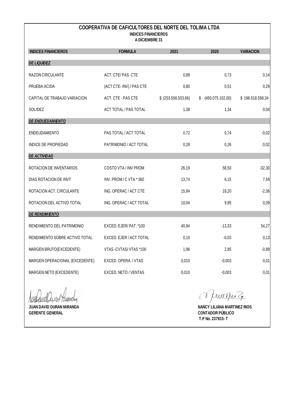### **COOPERATIVA DE CAFICULTORES DEL NORTE DEL TOLIMA LTDA INDICES FINANCIEROS**

**A DICIEMBRE 31** 

| <b>INDICES FINANCIEROS</b>     | <b>FORMULA</b>               | 2021                 | 2020                   | <b>VARIACION</b> |
|--------------------------------|------------------------------|----------------------|------------------------|------------------|
| <b>DE LIQUIDEZ</b>             |                              |                      |                        |                  |
| RAZON CIRCULANTE               | ACT. CTE/PAS. CTE            | 0,88                 | 0,73                   | 0,14             |
| PRUEBA ACIDA                   | (ACT CTE-INV) / PAS CTE      | 0,80                 | 0,51                   | 0,29             |
| CAPITAL DE TRABAJO VARIACION   | ACT. CTE - PAS CTE           | $$$ (253.556.503,66) | (450.075.102,00)<br>\$ | \$196.518.598,34 |
| SOLIDEZ                        | <b>ACT TOTAL / PAS TOTAL</b> | 1,38                 | 1,34                   | 0,04             |
| DE ENDUEDAMIENTO               |                              |                      |                        |                  |
| ENDEUDAMIENTO                  | PAS TOTAL / ACT TOTAL        | 0,72                 | 0,74                   | $-0,02$          |
| INDICE DE PROPIEDAD            | PATRIMONIO / ACT TOTAL       | 0,28                 | 0,26                   | 0,02             |
| <b>DE ACTIVIDAD</b>            |                              |                      |                        |                  |
| ROTACION DE INVENTARIOS        | COSTO VTA / INV PROM         | 26,19                | 58,50                  | $-32,30$         |
| DIAS ROTACION DE INVT          | INV. PROM / C VTA * 360      | 13,74                | 6,15                   | 7,59             |
| ROTACION ACT. CIRCULANTE       | ING. OPERAC / ACT CTE        | 15,84                | 18,20                  | $-2,36$          |
| ROTACION DEL ACTIVO TOTAL      | ING. OPERAC / ACT TOTAL      | 10,04                | 9,95                   | 0,09             |
| <b>DE RENDIMIENTO</b>          |                              |                      |                        |                  |
| RENDIMIENTO DEL PATRIMONIO     | EXCED. EJER/ PAT. *100       | 40,94                | $-13,33$               | 54,27            |
| RENDIMIENTO SOBRE ACTIVO TOTAL | EXCED. EJER / ACT TOTAL      | 0,10                 | $-0,03$                | 0,13             |
| MARGEN BRUTO(EXCEDENTE)        | VTAS - CVTAS/ VTAS *100      | 1,96                 | 2,85                   | $-0,89$          |
| MARGEN OPERACIONAL (EXCEDENTE) | EXCED. OPERA. / VTAS         | 0,010                | $-0,003$               | 0,01             |
| MARGEN NETO (EXCEDENTE)        | EXCED. NETO / VENTAS         | 0,010                | $-0,003$               | 0,01             |

*Auntennot* Tivandag

**GERENTE GENERAL CONTADOR PÚBLICO**

Oremper 2

**JUAN DAVID DURAN MIRANDA NANCY LILIANA MARTINEZ RIOS T.P No. 237815- T**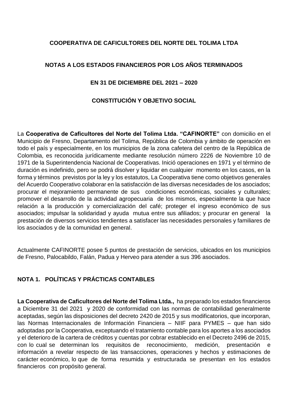#### **COOPERATIVA DE CAFICULTORES DEL NORTE DEL TOLIMA LTDA**

#### **NOTAS A LOS ESTADOS FINANCIEROS POR LOS AÑOS TERMINADOS**

#### **EN 31 DE DICIEMBRE DEL 2021 – 2020**

#### **CONSTITUCIÓN Y OBJETIVO SOCIAL**

La **Cooperativa de Caficultores del Norte del Tolima Ltda. "CAFINORTE"** con domicilio en el Municipio de Fresno, Departamento del Tolima, República de Colombia y ámbito de operación en todo el país y especialmente, en los municipios de la zona cafetera del centro de la República de Colombia, es reconocida jurídicamente mediante resolución número 2226 de Noviembre 10 de 1971 de la Superintendencia Nacional de Cooperativas. Inició operaciones en 1971 y el término de duración es indefinido, pero se podrá disolver y liquidar en cualquier momento en los casos, en la forma y términos previstos por la ley y los estatutos, La Cooperativa tiene como objetivos generales del Acuerdo Cooperativo colaborar en la satisfacción de las diversas necesidades de los asociados; procurar el mejoramiento permanente de sus condiciones económicas, sociales y culturales; promover el desarrollo de la actividad agropecuaria de los mismos, especialmente la que hace relación a la producción y comercialización del café; proteger el ingreso económico de sus asociados; impulsar la solidaridad y ayuda mutua entre sus afiliados; y procurar en general la prestación de diversos servicios tendientes a satisfacer las necesidades personales y familiares de los asociados y de la comunidad en general.

Actualmente CAFINORTE posee 5 puntos de prestación de servicios, ubicados en los municipios de Fresno, Palocabildo, Falán, Padua y Herveo para atender a sus 396 asociados.

### **NOTA 1. POLÍTICAS Y PRÁCTICAS CONTABLES**

**La Cooperativa de Caficultores del Norte del Tolima Ltda.,** ha preparado los estados financieros a Diciembre 31 del 2021 y 2020 de conformidad con las normas de contabilidad generalmente aceptadas, según las disposiciones del decreto 2420 de 2015 y sus modificatorios, que incorporan, las Normas Internacionales de Información Financiera – NIIF para PYMES – que han sido adoptadas por la Cooperativa, exceptuando el tratamiento contable para los aportes a los asociados y el deterioro de la cartera de créditos y cuentas por cobrar establecido en el Decreto 2496 de 2015, con lo cual se determinan los requisitos de reconocimiento, medición, presentación e información a revelar respecto de las transacciones, operaciones y hechos y estimaciones de carácter económico, lo que de forma resumida y estructurada se presentan en los estados financieros con propósito general.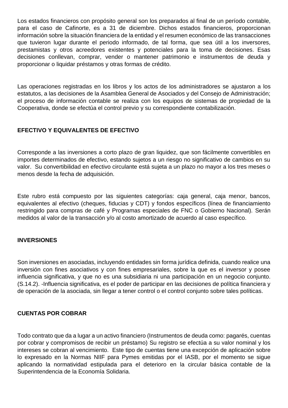Los estados financieros con propósito general son los preparados al final de un período contable, para el caso de Cafinorte, es a 31 de diciembre. Dichos estados financieros, proporcionan información sobre la situación financiera de la entidad y el resumen económico de las transacciones que tuvieron lugar durante el periodo informado, de tal forma, que sea útil a los inversores, prestamistas y otros acreedores existentes y potenciales para la toma de decisiones. Esas decisiones conllevan, comprar, vender o mantener patrimonio e instrumentos de deuda y proporcionar o liquidar préstamos y otras formas de crédito.

Las operaciones registradas en los libros y los actos de los administradores se ajustaron a los estatutos, a las decisiones de la Asamblea General de Asociados y del Consejo de Administración; el proceso de información contable se realiza con los equipos de sistemas de propiedad de la Cooperativa, donde se efectúa el control previo y su correspondiente contabilización.

#### **EFECTIVO Y EQUIVALENTES DE EFECTIVO**

Corresponde a las inversiones a corto plazo de gran liquidez, que son fácilmente convertibles en importes determinados de efectivo, estando sujetos a un riesgo no significativo de cambios en su valor. Su convertibilidad en efectivo circulante está sujeta a un plazo no mayor a los tres meses o menos desde la fecha de adquisición.

Este rubro está compuesto por las siguientes categorías: caja general, caja menor, bancos, equivalentes al efectivo (cheques, fiducias y CDT) y fondos específicos (línea de financiamiento restringido para compras de café y Programas especiales de FNC o Gobierno Nacional). Serán medidos al valor de la transacción y/o al costo amortizado de acuerdo al caso específico.

#### **INVERSIONES**

Son inversiones en asociadas, incluyendo entidades sin forma jurídica definida, cuando realice una inversión con fines asociativos y con fines empresariales, sobre la que es el inversor y posee influencia significativa, y que no es una subsidiaria ni una participación en un negocio conjunto. (S.14.2). -Influencia significativa, es el poder de participar en las decisiones de política financiera y de operación de la asociada, sin llegar a tener control o el control conjunto sobre tales políticas.

#### **CUENTAS POR COBRAR**

Todo contrato que da a lugar a un activo financiero (Instrumentos de deuda como: pagarés, cuentas por cobrar y compromisos de recibir un préstamo) Su registro se efectúa a su valor nominal y los intereses se cobran al vencimiento. Este tipo de cuentas tiene una excepción de aplicación sobre lo expresado en la Normas NIIF para Pymes emitidas por el IASB, por el momento se sigue aplicando la normatividad estipulada para el deterioro en la circular básica contable de la Superintendencia de la Economía Solidaria.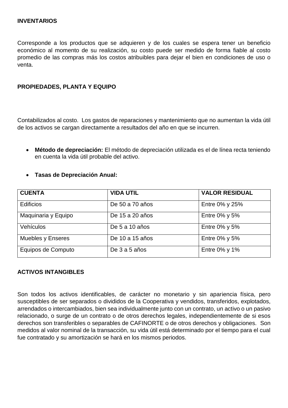Corresponde a los productos que se adquieren y de los cuales se espera tener un beneficio económico al momento de su realización, su costo puede ser medido de forma fiable al costo promedio de las compras más los costos atribuibles para dejar el bien en condiciones de uso o venta.

#### **PROPIEDADES, PLANTA Y EQUIPO**

Contabilizados al costo. Los gastos de reparaciones y mantenimiento que no aumentan la vida útil de los activos se cargan directamente a resultados del año en que se incurren.

• **Método de depreciación:** El método de depreciación utilizada es el de línea recta teniendo en cuenta la vida útil probable del activo.

| <b>CUENTA</b>       | <b>VIDA UTIL</b> | <b>VALOR RESIDUAL</b> |
|---------------------|------------------|-----------------------|
| <b>Edificios</b>    | De 50 a 70 años  | Entre 0% y 25%        |
| Maquinaria y Equipo | De 15 a 20 años  | Entre $0\%$ y 5%      |
| Vehículos           | De 5 a 10 años   | Entre $0\%$ y 5%      |
| Muebles y Enseres   | De 10 a 15 años  | Entre $0\%$ y 5%      |
| Equipos de Computo  | De 3 a 5 años    | Entre $0\%$ y 1%      |

#### • **Tasas de Depreciación Anual:**

#### **ACTIVOS INTANGIBLES**

Son todos los activos identificables, de carácter no monetario y sin apariencia física, pero susceptibles de ser separados o divididos de la Cooperativa y vendidos, transferidos, explotados, arrendados o intercambiados, bien sea individualmente junto con un contrato, un activo o un pasivo relacionado, o surge de un contrato o de otros derechos legales, independientemente de si esos derechos son transferibles o separables de CAFINORTE o de otros derechos y obligaciones. Son medidos al valor nominal de la transacción, su vida útil está determinado por el tiempo para el cual fue contratado y su amortización se hará en los mismos periodos.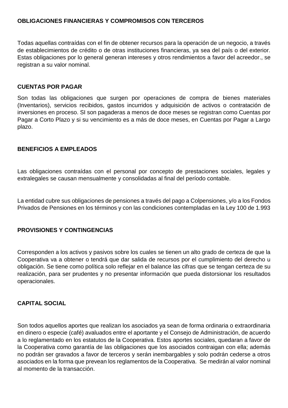#### **OBLIGACIONES FINANCIERAS Y COMPROMISOS CON TERCEROS**

Todas aquellas contraídas con el fin de obtener recursos para la operación de un negocio, a través de establecimientos de crédito o de otras instituciones financieras, ya sea del país o del exterior. Estas obligaciones por lo general generan intereses y otros rendimientos a favor del acreedor., se registran a su valor nominal.

#### **CUENTAS POR PAGAR**

Son todas las obligaciones que surgen por operaciones de compra de bienes materiales (Inventarios), servicios recibidos, gastos incurridos y adquisición de activos o contratación de inversiones en proceso. SI son pagaderas a menos de doce meses se registran como Cuentas por Pagar a Corto Plazo y si su vencimiento es a más de doce meses, en Cuentas por Pagar a Largo plazo.

#### **BENEFICIOS A EMPLEADOS**

Las obligaciones contraídas con el personal por concepto de prestaciones sociales, legales y extralegales se causan mensualmente y consolidadas al final del período contable.

La entidad cubre sus obligaciones de pensiones a través del pago a Colpensiones, y/o a los Fondos Privados de Pensiones en los términos y con las condiciones contempladas en la Ley 100 de 1.993

#### **PROVISIONES Y CONTINGENCIAS**

Corresponden a los activos y pasivos sobre los cuales se tienen un alto grado de certeza de que la Cooperativa va a obtener o tendrá que dar salida de recursos por el cumplimiento del derecho u obligación. Se tiene como política solo reflejar en el balance las cifras que se tengan certeza de su realización, para ser prudentes y no presentar información que pueda distorsionar los resultados operacionales.

#### **CAPITAL SOCIAL**

Son todos aquellos aportes que realizan los asociados ya sean de forma ordinaria o extraordinaria en dinero o especie (café) avaluados entre el aportante y el Consejo de Administración, de acuerdo a lo reglamentado en los estatutos de la Cooperativa. Estos aportes sociales, quedaran a favor de la Cooperativa como garantía de las obligaciones que los asociados contraigan con ella; además no podrán ser gravados a favor de terceros y serán inembargables y solo podrán cederse a otros asociados en la forma que prevean los reglamentos de la Cooperativa. Se medirán al valor nominal al momento de la transacción.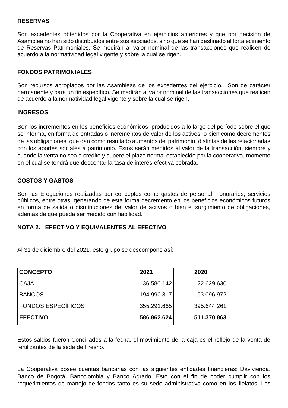#### **RESERVAS**

Son excedentes obtenidos por la Cooperativa en ejercicios anteriores y que por decisión de Asamblea no han sido distribuidos entre sus asociados, sino que se han destinado al fortalecimiento de Reservas Patrimoniales. Se medirán al valor nominal de las transacciones que realicen de acuerdo a la normatividad legal vigente y sobre la cual se rigen.

#### **FONDOS PATRIMONIALES**

Son recursos apropiados por las Asambleas de los excedentes del ejercicio. Son de carácter permanente y para un fin específico. Se medirán al valor nominal de las transacciones que realicen de acuerdo a la normatividad legal vigente y sobre la cual se rigen.

#### **INGRESOS**

Son los incrementos en los beneficios económicos, producidos a lo largo del período sobre el que se informa, en forma de entradas o incrementos de valor de los activos, o bien como decrementos de las obligaciones, que dan como resultado aumentos del patrimonio, distintas de las relacionadas con los aportes sociales a patrimonio. Estos serán medidos al valor de la transacción, siempre y cuando la venta no sea a crédito y supere el plazo normal establecido por la cooperativa, momento en el cual se tendrá que descontar la tasa de interés efectiva cobrada.

#### **COSTOS Y GASTOS**

Son las Erogaciones realizadas por conceptos como gastos de personal, honorarios, servicios públicos, entre otras; generando de esta forma decremento en los beneficios económicos futuros en forma de salida o disminuciones del valor de activos o bien el surgimiento de obligaciones, además de que pueda ser medido con fiabilidad.

#### **NOTA 2. EFECTIVO Y EQUIVALENTES AL EFECTIVO**

Al 31 de diciembre del 2021, este grupo se descompone así:

| <b>CONCEPTO</b>           | 2021        | 2020        |
|---------------------------|-------------|-------------|
| <b>CAJA</b>               | 36.580.142  | 22.629.630  |
| <b>BANCOS</b>             | 194.990.817 | 93.096.972  |
| <b>FONDOS ESPECÍFICOS</b> | 355.291.665 | 395.644.261 |
| <b>EFECTIVO</b>           | 586.862.624 | 511.370.863 |

Estos saldos fueron Conciliados a la fecha, el movimiento de la caja es el reflejo de la venta de fertilizantes de la sede de Fresno.

La Cooperativa posee cuentas bancarias con las siguientes entidades financieras: Davivienda, Banco de Bogotá, Bancolombia y Banco Agrario. Esto con el fin de poder cumplir con los requerimientos de manejo de fondos tanto es su sede administrativa como en los fielatos. Los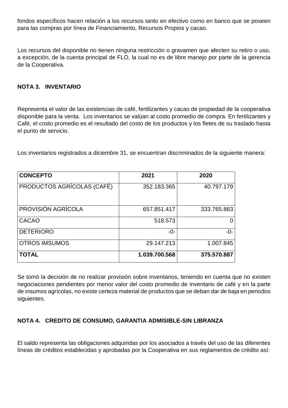fondos específicos hacen relación a los recursos tanto en efectivo como en banco que se poseen para las compras por línea de Financiamiento, Recursos Propios y cacao.

Los recursos del disponible no tienen ninguna restricción o gravamen que afecten su retiro o uso, a excepción, de la cuenta principal de FLO, la cual no es de libre manejo por parte de la gerencia de la Cooperativa.

#### **NOTA 3. INVENTARIO**

Representa el valor de las existencias de café, fertilizantes y cacao de propiedad de la cooperativa disponible para la venta. Los inventarios se valúan al costo promedio de compra. En fertilizantes y Café, el costo promedio es el resultado del costo de los productos y los fletes de su traslado hasta el punto de servicio.

Los inventarios registrados a diciembre 31, se encuentran discriminados de la siguiente manera:

| <b>CONCEPTO</b>            | 2021          | 2020        |
|----------------------------|---------------|-------------|
| PRODUCTOS AGRÍCOLAS (CAFÉ) | 352.183.365   | 40.797.179  |
| PROVISIÓN AGRÍCOLA         | 657.851.417   | 333.765.863 |
| <b>CACAO</b>               | 518.573       |             |
| <b>DETERIORO</b>           | -0-           | -0-         |
| <b>OTROS IMSUMOS</b>       | 29.147.213    | 1.007.845   |
| <b>TOTAL</b>               | 1.039.700.568 | 375.570.887 |

Se tomó la decisión de no realizar provisión sobre inventarios, teniendo en cuenta que no existen negociaciones pendientes por menor valor del costo promedio de inventario de café y en la parte de insumos agrícolas, no existe certeza material de productos que se deban dar de baja en periodos siguientes.

#### **NOTA 4. CREDITO DE CONSUMO, GARANTIA ADMISIBLE-SIN LIBRANZA**

El saldo representa las obligaciones adquiridas por los asociados a través del uso de las diferentes líneas de créditos establecidas y aprobadas por la Cooperativa en sus reglamentos de crédito así: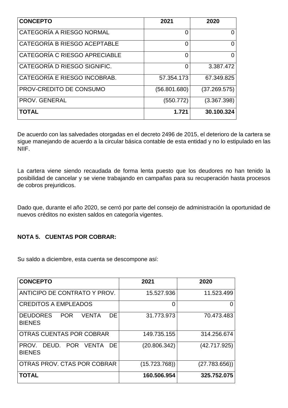| <b>CONCEPTO</b>               | 2021         | 2020         |
|-------------------------------|--------------|--------------|
| CATEGORÍA A RIESGO NORMAL     | 0            |              |
| CATEGORÍA B RIESGO ACEPTABLE  | 0            | 0            |
| CATEGORÍA C RIESGO APRECIABLE | 0            | 0            |
| CATEGORÍA D RIESGO SIGNIFIC.  | 0            | 3.387.472    |
| CATEGORÍA E RIESGO INCOBRAB.  | 57.354.173   | 67.349.825   |
| PROV-CREDITO DE CONSUMO       | (56.801.680) | (37.269.575) |
| <b>PROV. GENERAL</b>          | (550.772)    | (3.367.398)  |
| <b>TOTAL</b>                  | 1.721        | 30.100.324   |

De acuerdo con las salvedades otorgadas en el decreto 2496 de 2015, el deterioro de la cartera se sigue manejando de acuerdo a la circular básica contable de esta entidad y no lo estipulado en las NIIF.

La cartera viene siendo recaudada de forma lenta puesto que los deudores no han tenido la posibilidad de cancelar y se viene trabajando en campañas para su recuperación hasta procesos de cobros prejuridicos.

Dado que, durante el año 2020, se cerró por parte del consejo de administración la oportunidad de nuevos créditos no existen saldos en categoría vigentes.

#### **NOTA 5. CUENTAS POR COBRAR:**

Su saldo a diciembre, esta cuenta se descompone así:

| <b>CONCEPTO</b>                                                | 2021         | 2020          |
|----------------------------------------------------------------|--------------|---------------|
| ANTICIPO DE CONTRATO Y PROV.                                   | 15.527.936   | 11.523.499    |
| <b>CREDITOS A EMPLEADOS</b>                                    | O            | O             |
| <b>DEUDORES</b><br>DE.<br><b>POR</b><br>VENTA<br><b>BIENES</b> | 31.773.973   | 70.473.483    |
| OTRAS CUENTAS POR COBRAR                                       | 149.735.155  | 314.256.674   |
| PROV. DEUD. POR VENTA<br>DE.<br><b>BIENES</b>                  | (20.806.342) | (42.717.925)  |
| OTRAS PROV. CTAS POR COBRAR                                    | (15.723.768) | (27.783.656)) |
| <b>TOTAL</b>                                                   | 160.506.954  | 325.752.075   |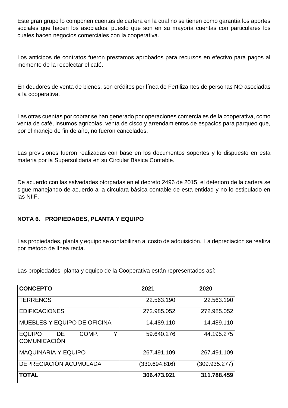Este gran grupo lo componen cuentas de cartera en la cual no se tienen como garantía los aportes sociales que hacen los asociados, puesto que son en su mayoría cuentas con particulares los cuales hacen negocios comerciales con la cooperativa.

Los anticipos de contratos fueron prestamos aprobados para recursos en efectivo para pagos al momento de la recolectar el café.

En deudores de venta de bienes, son créditos por línea de Fertilizantes de personas NO asociadas a la cooperativa.

Las otras cuentas por cobrar se han generado por operaciones comerciales de la cooperativa, como venta de café, insumos agrícolas, venta de cisco y arrendamientos de espacios para parqueo que, por el manejo de fin de año, no fueron cancelados.

Las provisiones fueron realizadas con base en los documentos soportes y lo dispuesto en esta materia por la Supersolidaria en su Circular Básica Contable.

De acuerdo con las salvedades otorgadas en el decreto 2496 de 2015, el deterioro de la cartera se sigue manejando de acuerdo a la circulara básica contable de esta entidad y no lo estipulado en las NIIF.

### **NOTA 6. PROPIEDADES, PLANTA Y EQUIPO**

Las propiedades, planta y equipo se contabilizan al costo de adquisición. La depreciación se realiza por método de línea recta.

Las propiedades, planta y equipo de la Cooperativa están representados así:

| <b>CONCEPTO</b>                                          | 2021          | 2020          |
|----------------------------------------------------------|---------------|---------------|
| <b>TERRENOS</b>                                          | 22.563.190    | 22.563.190    |
| <b>EDIFICACIONES</b>                                     | 272.985.052   | 272.985.052   |
| <b>MUEBLES Y EQUIPO DE OFICINA</b>                       | 14.489.110    | 14.489.110    |
| Y<br><b>EQUIPO</b><br>COMP.<br>DE<br><b>COMUNICACIÓN</b> | 59.640.276    | 44.195.275    |
| <b>MAQUINARIA Y EQUIPO</b>                               | 267.491.109   | 267.491.109   |
| DEPRECIACIÓN ACUMULADA                                   | (330.694.816) | (309.935.277) |
| <b>TOTAL</b>                                             | 306.473.921   | 311.788.459   |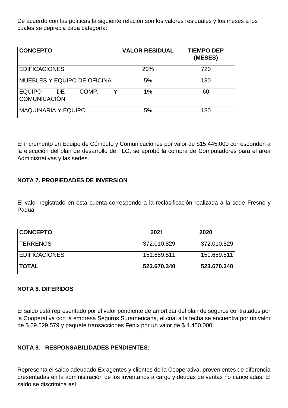De acuerdo con las políticas la siguiente relación son los valores residuales y los meses a los cuales se deprecia cada categoría:

| <b>CONCEPTO</b>                                      | <b>VALOR RESIDUAL</b> | <b>TIEMPO DEP</b><br>(MESES) |
|------------------------------------------------------|-----------------------|------------------------------|
| <b>EDIFICACIONES</b>                                 | 20%                   | 720                          |
| MUEBLES Y EQUIPO DE OFICINA                          | 5%                    | 180                          |
| <b>EQUIPO</b><br>COMP.<br>DE.<br><b>COMUNICACIÓN</b> | 1%                    | 60                           |
| <b>MAQUINARIA Y EQUIPO</b>                           | 5%                    | 180                          |

El incremento en Equipo de Cómputo y Comunicaciones por valor de \$15.445.000 corresponden a la ejecución del plan de desarrollo de FLO, se aprobó la compra de Computadores para el área Administrativas y las sedes.

#### **NOTA 7. PROPIEDADES DE INVERSION**

El valor registrado en esta cuenta corresponde a la reclasificación realizada a la sede Fresno y Padua.

| <b>CONCEPTO</b>      | 2021        | 2020        |
|----------------------|-------------|-------------|
| <b>TERRENOS</b>      | 372.010.829 | 372.010.829 |
| <b>EDIFICACIONES</b> | 151.659.511 | 151.659.511 |
| <b>TOTAL</b>         | 523.670.340 | 523.670.340 |

#### **NOTA 8. DIFERIDOS**

El saldo está representado por el valor pendiente de amortizar del plan de seguros contratados por la Cooperativa con la empresa Seguros Suramericana, el cual a la fecha se encuentra por un valor de \$ 69.529.579 y paquete transacciones Fenix por un valor de \$ 4.450.000.

#### **NOTA 9. RESPONSABILIDADES PENDIENTES:**

Representa el saldo adeudado Ex agentes y clientes de la Cooperativa, provenientes de diferencia presentadas en la administración de los inventarios a cargo y deudas de ventas no canceladas. El saldo se discrimina así: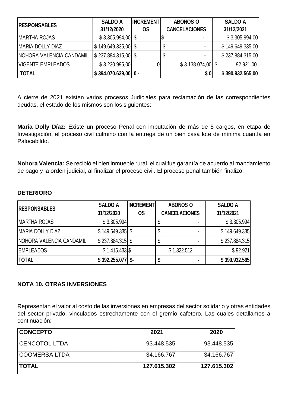| <b>RESPONSABLES</b>      | <b>SALDO A</b>                     | <b>INCREMENT</b> | <b>ABONOS O</b>      | <b>SALDO A</b>   |
|--------------------------|------------------------------------|------------------|----------------------|------------------|
|                          | 31/12/2020                         | <b>OS</b>        | <b>CANCELACIONES</b> | 31/12/2021       |
| <b>MARTHA ROJAS</b>      | $$3.305.994,00$ \\$                |                  |                      | \$3.305.994,00   |
| <b>MARIA DOLLY DIAZ</b>  | $\frac{1}{3}$ 149.649.335,00 \ \$  |                  |                      | \$149.649.335,00 |
| NOHORA VALENCIA CANDAMIL | $\frac{1}{2}$ \$ 237.884.315,00 \$ |                  |                      | \$237.884.315,00 |
| <b>VIGENTE EMPLEADOS</b> | \$3.230.995,00                     |                  | $$3.138.074.00$ \\$  | 92.921.00        |
| <b>TOTAL</b>             | $$394.070.639,00$ 0 -              |                  | <b>\$01</b>          | \$390.932.565,00 |

A cierre de 2021 existen varios procesos Judiciales para reclamación de las correspondientes deudas, el estado de los mismos son los siguientes:

**Maria Dolly Díaz:** Existe un proceso Penal con imputación de más de 5 cargos, en etapa de Investigación, el proceso civil culminó con la entrega de un bien casa lote de mínima cuantía en Palocabildo.

**Nohora Valencia:** Se recibió el bien inmueble rural, el cual fue garantía de acuerdo al mandamiento de pago y la orden judicial, al finalizar el proceso civil. El proceso penal también finalizó.

#### **DETERIORO**

| <b>RESPONSABLES</b>             | <b>SALDO A</b>     | <b>INCREMENT</b> | <b>ABONOS O</b>      | <b>SALDO A</b> |
|---------------------------------|--------------------|------------------|----------------------|----------------|
|                                 | 31/12/2020         | <b>OS</b>        | <b>CANCELACIONES</b> | 31/12/2021     |
| <b>MARTHA ROJAS</b>             | \$3.305.994]       |                  |                      | \$3.305.994]   |
| MARIA DOLLY DIAZ                | $$149.649.335$ \\$ |                  |                      | \$149.649.335  |
| <b>NOHORA VALENCIA CANDAMIL</b> | $$237.884.315$ $$$ |                  | ۰<br>J               | \$237.884.315  |
| <b>EMPLEADOS</b>                | $$1.415.433$ $$$   |                  | \$1.322.512          | \$92.921       |
| <b>TOTAL</b>                    | $$392.255.077$ \$- |                  | ۰                    | \$390.932.565  |

#### **NOTA 10. OTRAS INVERSIONES**

Representan el valor al costo de las inversiones en empresas del sector solidario y otras entidades del sector privado, vinculados estrechamente con el gremio cafetero. Las cuales detallamos a continuación:

| <b>CONCEPTO</b>      | 2021        | 2020        |
|----------------------|-------------|-------------|
| <b>CENCOTOL LTDA</b> | 93.448.535  | 93.448.535  |
| <b>COOMERSA LTDA</b> | 34.166.767  | 34.166.767  |
| <b>TOTAL</b>         | 127.615.302 | 127.615.302 |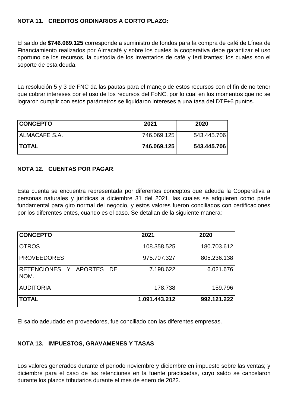#### **NOTA 11. CREDITOS ORDINARIOS A CORTO PLAZO:**

El saldo de **\$746.069.125** corresponde a suministro de fondos para la compra de café de Línea de Financiamiento realizados por Almacafé y sobre los cuales la cooperativa debe garantizar el uso oportuno de los recursos, la custodia de los inventarios de café y fertilizantes; los cuales son el soporte de esta deuda.

La resolución 5 y 3 de FNC da las pautas para el manejo de estos recursos con el fin de no tener que cobrar intereses por el uso de los recursos del FoNC, por lo cual en los momentos que no se lograron cumplir con estos parámetros se liquidaron intereses a una tasa del DTF+6 puntos.

| <b>CONCEPTO</b> | 2021        | 2020        |
|-----------------|-------------|-------------|
| ALMACAFE S.A.   | 746.069.125 | 543.445.706 |
| <b>TOTAL</b>    | 746.069.125 | 543.445.706 |

#### **NOTA 12. CUENTAS POR PAGAR**:

Esta cuenta se encuentra representada por diferentes conceptos que adeuda la Cooperativa a personas naturales y jurídicas a diciembre 31 del 2021, las cuales se adquieren como parte fundamental para giro normal del negocio, y estos valores fueron conciliados con certificaciones por los diferentes entes, cuando es el caso. Se detallan de la siguiente manera:

| <b>CONCEPTO</b>                  | 2021          | 2020        |
|----------------------------------|---------------|-------------|
| <b>OTROS</b>                     | 108.358.525   | 180.703.612 |
| <b>PROVEEDORES</b>               | 975.707.327   | 805.236.138 |
| RETENCIONES Y APORTES DE<br>NOM. | 7.198.622     | 6.021.676   |
| <b>AUDITORIA</b>                 | 178.738       | 159.796     |
| <b>TOTAL</b>                     | 1.091.443.212 | 992.121.222 |

El saldo adeudado en proveedores, fue conciliado con las diferentes empresas.

#### **NOTA 13. IMPUESTOS, GRAVAMENES Y TASAS**

Los valores generados durante el periodo noviembre y diciembre en impuesto sobre las ventas; y diciembre para el caso de las retenciones en la fuente practicadas, cuyo saldo se cancelaron durante los plazos tributarios durante el mes de enero de 2022.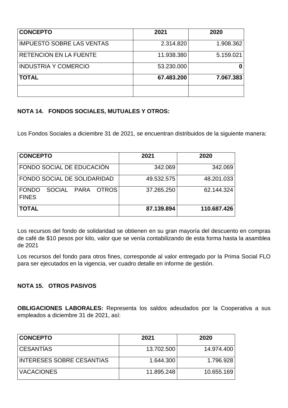| <b>CONCEPTO</b>                  | 2021       | 2020      |
|----------------------------------|------------|-----------|
| <b>IMPUESTO SOBRE LAS VENTAS</b> | 2.314.820  | 1.908.362 |
| <b>RETENCION EN LA FUENTE</b>    | 11.938.380 | 5.159.021 |
| <b>INDUSTRIA Y COMERCIO</b>      | 53.230.000 | 0         |
| <b>TOTAL</b>                     | 67.483.200 | 7.067.383 |
|                                  |            |           |

### **NOTA 14. FONDOS SOCIALES, MUTUALES Y OTROS:**

Los Fondos Sociales a diciembre 31 de 2021, se encuentran distribuidos de la siguiente manera:

| <b>CONCEPTO</b>                                             | 2021       | 2020        |
|-------------------------------------------------------------|------------|-------------|
| FONDO SOCIAL DE EDUCACIÓN                                   | 342.069    | 342.069     |
| FONDO SOCIAL DE SOLIDARIDAD                                 | 49.532.575 | 48.201.033  |
| PARA OTROS<br><b>FONDO</b><br><b>SOCIAL</b><br><b>FINES</b> | 37.265.250 | 62.144.324  |
| <b>TOTAL</b>                                                | 87.139.894 | 110.687.426 |

Los recursos del fondo de solidaridad se obtienen en su gran mayoría del descuento en compras de café de \$10 pesos por kilo, valor que se venía contabilizando de esta forma hasta la asamblea de 2021

Los recursos del fondo para otros fines, corresponde al valor entregado por la Prima Social FLO para ser ejecutados en la vigencia, ver cuadro detalle en informe de gestión.

#### **NOTA 15. OTROS PASIVOS**

**OBLIGACIONES LABORALES:** Representa los saldos adeudados por la Cooperativa a sus empleados a diciembre 31 de 2021, así:

| <b>CONCEPTO</b>           | 2021       | 2020       |
|---------------------------|------------|------------|
| <b>CESANTIAS</b>          | 13.702.500 | 14.974.400 |
| INTERESES SOBRE CESANTIAS | 1.644.300  | 1.796.928  |
| <b>VACACIONES</b>         | 11.895.248 | 10.655.169 |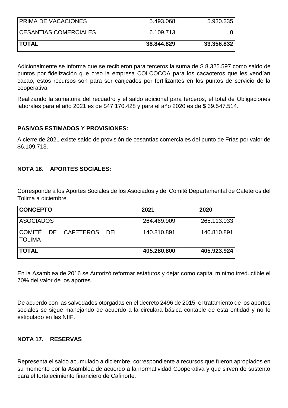| <b>PRIMA DE VACACIONES</b>   | 5.493.068  | 5.930.335  |
|------------------------------|------------|------------|
| <b>CESANTIAS COMERCIALES</b> | 6.109.713  |            |
| <b>TOTAL</b>                 | 38.844.829 | 33.356.832 |

Adicionalmente se informa que se recibieron para terceros la suma de \$ 8.325.597 como saldo de puntos por fidelización que creo la empresa COLCOCOA para los cacaoteros que les vendían cacao, estos recursos son para ser canjeados por fertilizantes en los puntos de servicio de la cooperativa

Realizando la sumatoria del recuadro y el saldo adicional para terceros, el total de Obligaciones laborales para el año 2021 es de \$47.170.428 y para el año 2020 es de \$ 39.547.514.

#### **PASIVOS ESTIMADOS Y PROVISIONES:**

A cierre de 2021 existe saldo de provisión de cesantías comerciales del punto de Frías por valor de \$6.109.713.

#### **NOTA 16. APORTES SOCIALES:**

Corresponde a los Aportes Sociales de los Asociados y del Comité Departamental de Cafeteros del Tolima a diciembre

| <b>CONCEPTO</b>  |                         | 2021        | 2020        |
|------------------|-------------------------|-------------|-------------|
| <b>ASOCIADOS</b> |                         | 264.469.909 | 265.113.033 |
| <b>TOLIMA</b>    | COMITÉ DE CAFETEROS DEL | 140.810.891 | 140.810.891 |
| <b>TOTAL</b>     |                         | 405.280.800 | 405.923.924 |

En la Asamblea de 2016 se Autorizó reformar estatutos y dejar como capital mínimo irreductible el 70% del valor de los aportes.

De acuerdo con las salvedades otorgadas en el decreto 2496 de 2015, el tratamiento de los aportes sociales se sigue manejando de acuerdo a la circulara básica contable de esta entidad y no lo estipulado en las NIIF.

#### **NOTA 17. RESERVAS**

Representa el saldo acumulado a diciembre, correspondiente a recursos que fueron apropiados en su momento por la Asamblea de acuerdo a la normatividad Cooperativa y que sirven de sustento para el fortalecimiento financiero de Cafinorte.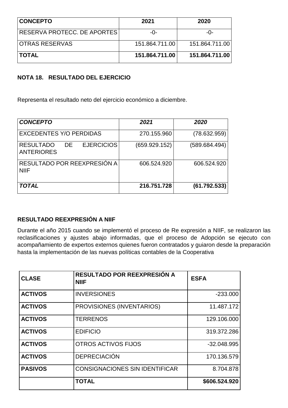| <b>CONCEPTO</b>             | 2021           | 2020           |
|-----------------------------|----------------|----------------|
| RESERVA PROTECC. DE APORTES | -೧-            | -೧-            |
| <b>IOTRAS RESERVAS</b>      | 151.864.711.00 | 151.864.711.00 |
| <b>TOTAL</b>                | 151.864.711.00 | 151.864.711.00 |

#### **NOTA 18. RESULTADO DEL EJERCICIO**

Representa el resultado neto del ejercicio económico a diciembre.

| <b>CONCEPTO</b>                                                   | 2021          | 2020          |
|-------------------------------------------------------------------|---------------|---------------|
| <b>EXCEDENTES Y/O PERDIDAS</b>                                    | 270.155.960   | (78.632.959)  |
| <b>EJERCICIOS</b><br><b>RESULTADO</b><br>DE.<br><b>ANTERIORES</b> | (659.929.152) | (589.684.494) |
| RESULTADO POR REEXPRESIÓN A<br><b>NIIF</b>                        | 606.524.920   | 606.524.920   |
| <b>TOTAL</b>                                                      | 216.751.728   | (61.792.533)  |

### **RESULTADO REEXPRESIÓN A NIIF**

Durante el año 2015 cuando se implementó el proceso de Re expresión a NIIF, se realizaron las reclasificaciones y ajustes abajo informadas, que el proceso de Adopción se ejecuto con acompañamiento de expertos externos quienes fueron contratados y guiaron desde la preparación hasta la implementación de las nuevas políticas contables de la Cooperativa

| <b>CLASE</b>   | <b>RESULTADO POR REEXPRESIÓN A</b><br><b>NIIF</b> | <b>ESFA</b>   |
|----------------|---------------------------------------------------|---------------|
| <b>ACTIVOS</b> | <b>INVERSIONES</b>                                | $-233.000$    |
| <b>ACTIVOS</b> | PROVISIONES (INVENTARIOS)                         | 11.487.172    |
| <b>ACTIVOS</b> | <b>TERRENOS</b>                                   | 129.106.000   |
| <b>ACTIVOS</b> | <b>EDIFICIO</b>                                   | 319.372.286   |
| <b>ACTIVOS</b> | <b>OTROS ACTIVOS FIJOS</b>                        | $-32.048.995$ |
| <b>ACTIVOS</b> | <b>DEPRECIACIÓN</b>                               | 170.136.579   |
| <b>PASIVOS</b> | <b>CONSIGNACIONES SIN IDENTIFICAR</b>             | 8.704.878     |
|                | <b>TOTAL</b>                                      | \$606.524.920 |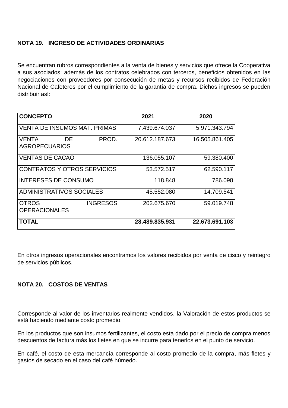#### **NOTA 19. INGRESO DE ACTIVIDADES ORDINARIAS**

Se encuentran rubros correspondientes a la venta de bienes y servicios que ofrece la Cooperativa a sus asociados; además de los contratos celebrados con terceros, beneficios obtenidos en las negociaciones con proveedores por consecución de metas y recursos recibidos de Federación Nacional de Cafeteros por el cumplimiento de la garantía de compra. Dichos ingresos se pueden distribuir así:

| <b>CONCEPTO</b>                                         | 2021           | 2020           |
|---------------------------------------------------------|----------------|----------------|
| <b>VENTA DE INSUMOS MAT, PRIMAS</b>                     | 7.439.674.037  | 5.971.343.794  |
| PROD.<br><b>VENTA</b><br>DE<br><b>AGROPECUARIOS</b>     | 20.612.187.673 | 16.505.861.405 |
| <b>VENTAS DE CACAO</b>                                  | 136.055.107    | 59.380.400     |
| <b>CONTRATOS Y OTROS SERVICIOS</b>                      | 53.572.517     | 62.590.117     |
| <b>INTERESES DE CONSUMO</b>                             | 118.848        | 786.098        |
| ADMINISTRATIVOS SOCIALES                                | 45.552.080     | 14.709.541     |
| <b>INGRESOS</b><br><b>OTROS</b><br><b>OPERACIONALES</b> | 202.675.670    | 59.019.748     |
| <b>TOTAL</b>                                            | 28.489.835.931 | 22.673.691.103 |

En otros ingresos operacionales encontramos los valores recibidos por venta de cisco y reintegro de servicios públicos.

#### **NOTA 20. COSTOS DE VENTAS**

Corresponde al valor de los inventarios realmente vendidos, la Valoración de estos productos se está haciendo mediante costo promedio.

En los productos que son insumos fertilizantes, el costo esta dado por el precio de compra menos descuentos de factura más los fletes en que se incurre para tenerlos en el punto de servicio.

En café, el costo de esta mercancía corresponde al costo promedio de la compra, más fletes y gastos de secado en el caso del café húmedo.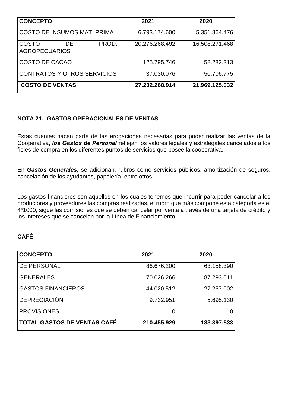| <b>CONCEPTO</b>                              | 2021           | 2020           |
|----------------------------------------------|----------------|----------------|
| COSTO DE INSUMOS MAT. PRIMA                  | 6.793.174.600  | 5.351.864.476  |
| COSTO<br>PROD.<br>DE<br><b>AGROPECUARIOS</b> | 20.276.268.492 | 16.508.271.468 |
| COSTO DE CACAO                               | 125.795.746    | 58.282.313     |
| <b>CONTRATOS Y OTROS SERVICIOS</b>           | 37.030.076     | 50.706.775     |
| <b>COSTO DE VENTAS</b>                       | 27.232.268.914 | 21.969.125.032 |

#### **NOTA 21. GASTOS OPERACIONALES DE VENTAS**

Estas cuentes hacen parte de las erogaciones necesarias para poder realizar las ventas de la Cooperativa, *los Gastos de Personal* reflejan los valores legales y extralegales cancelados a los fieles de compra en los diferentes puntos de servicios que posee la cooperativa.

En *Gastos Generales,* se adicionan, rubros como servicios públicos, amortización de seguros, cancelación de los ayudantes, papelería, entre otros.

Los gastos financieros son aquellos en los cuales tenemos que incurrir para poder cancelar a los productores y proveedores las compras realizadas, el rubro que más compone esta categoría es el 4\*1000; sigue las comisiones que se deben cancelar por venta a través de una tarjeta de crédito y los intereses que se cancelan por la Línea de Financiamiento.

### **CAFÉ**

| <b>CONCEPTO</b>                    | 2021        | 2020        |
|------------------------------------|-------------|-------------|
| DE PERSONAL                        | 86.676.200  | 63.158.390  |
| <b>GENERALES</b>                   | 70.026.266  | 87.293.011  |
| <b>GASTOS FINANCIEROS</b>          | 44.020.512  | 27.257.002  |
| <b>DEPRECIACIÓN</b>                | 9.732.951   | 5.695.130   |
| <b>PROVISIONES</b>                 |             |             |
| <b>TOTAL GASTOS DE VENTAS CAFÉ</b> | 210.455.929 | 183.397.533 |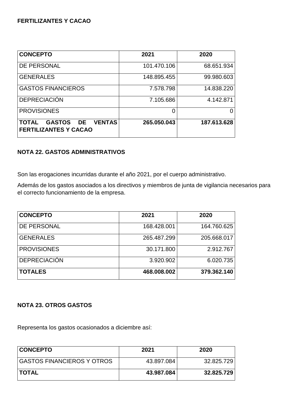#### **FERTILIZANTES Y CACAO**

| <b>CONCEPTO</b>                                                                   | 2021        | 2020        |
|-----------------------------------------------------------------------------------|-------------|-------------|
| <b>DE PERSONAL</b>                                                                | 101.470.106 | 68.651.934  |
| <b>GENERALES</b>                                                                  | 148.895.455 | 99.980.603  |
| <b>GASTOS FINANCIEROS</b>                                                         | 7.578.798   | 14.838.220  |
| <b>DEPRECIACIÓN</b>                                                               | 7.105.686   | 4.142.871   |
| <b>PROVISIONES</b>                                                                | 0           | 0           |
| <b>VENTAS</b><br><b>GASTOS DE</b><br><b>TOTAL</b><br><b>FERTILIZANTES Y CACAO</b> | 265.050.043 | 187.613.628 |

#### **NOTA 22. GASTOS ADMINISTRATIVOS**

Son las erogaciones incurridas durante el año 2021, por el cuerpo administrativo.

Además de los gastos asociados a los directivos y miembros de junta de vigilancia necesarios para el correcto funcionamiento de la empresa.

| <b>CONCEPTO</b>     | 2021        | 2020        |
|---------------------|-------------|-------------|
| <b>DE PERSONAL</b>  | 168.428.001 | 164.760.625 |
| <b>GENERALES</b>    | 265.487.299 | 205.668.017 |
| <b>PROVISIONES</b>  | 30.171.800  | 2.912.767   |
| <b>DEPRECIACIÓN</b> | 3.920.902   | 6.020.735   |
| <b>TOTALES</b>      | 468.008.002 | 379.362.140 |

#### **NOTA 23. OTROS GASTOS**

Representa los gastos ocasionados a diciembre así:

| <b>CONCEPTO</b>            | 2021       | 2020       |
|----------------------------|------------|------------|
| GASTOS FINANCIEROS Y OTROS | 43.897.084 | 32.825.729 |
| <b>ITOTAL</b>              | 43.987.084 | 32.825.729 |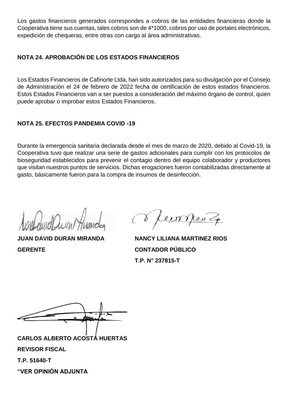Los gastos financieros generados correspondes a cobros de las entidades financieras donde la Cooperativa tiene sus cuentas, tales cobros son de 4\*1000, cobros por uso de portales electrónicos, expedición de chequeras, entre otras con cargo al área administrativas.

### **NOTA 24. APROBACIÓN DE LOS ESTADOS FINANCIEROS**

Los Estados Financieros de Cafinorte Ltda, han sido autorizados para su divulgación por el Consejo de Administración el 24 de febrero de 2022 fecha de certificación de estos estados financieros. Estos Estados Financieros van a ser puestos a consideración del máximo órgano de control, quien puede aprobar o improbar estos Estados Financieros.

### **NOTA 25. EFECTOS PANDEMIA COVID -19**

Durante la emergencia sanitaria declarada desde el mes de marzo de 2020, debido al Covid-19, la Cooperativa tuvo que realizar una serie de gastos adicionales para cumplir con los protocolos de bioseguridad establecidos para prevenir el contagio dentro del equipo colaborador y productores que visitan nuestros puntos de servicios. Dichas erogaciones fueron contabilizadas directamente al gasto, básicamente fueron para la compra de insumos de desinfección.

**GERENTE CONTADOR PÚBLICO**

**JUAN DAVID DURAN MIRANDA NANCY LILIANA MARTINEZ RIOS T.P. N° 237815-T**

**CARLOS ALBERTO ACOSTA HUERTAS REVISOR FISCAL T.P. 51640-T "VER OPINIÓN ADJUNTA**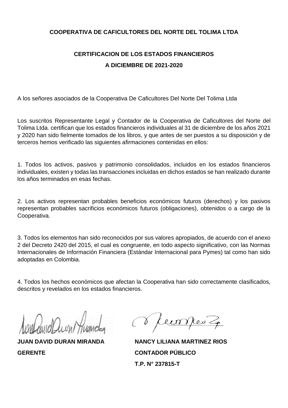#### **COOPERATIVA DE CAFICULTORES DEL NORTE DEL TOLIMA LTDA**

## **CERTIFICACION DE LOS ESTADOS FINANCIEROS A DICIEMBRE DE 2021-2020**

A los señores asociados de la Cooperativa De Caficultores Del Norte Del Tolima Ltda

Los suscritos Representante Legal y Contador de la Cooperativa de Caficultores del Norte del Tolima Ltda. certifican que los estados financieros individuales al 31 de diciembre de los años 2021 y 2020 han sido fielmente tomados de los libros, y que antes de ser puestos a su disposición y de terceros hemos verificado las siguientes afirmaciones contenidas en ellos:

1. Todos los activos, pasivos y patrimonio consolidados, incluidos en los estados financieros individuales, existen y todas las transacciones incluidas en dichos estados se han realizado durante los años terminados en esas fechas.

2. Los activos representan probables beneficios económicos futuros (derechos) y los pasivos representan probables sacrificios económicos futuros (obligaciones), obtenidos o a cargo de la Cooperativa.

3. Todos los elementos han sido reconocidos por sus valores apropiados, de acuerdo con el anexo 2 del Decreto 2420 del 2015, el cual es congruente, en todo aspecto significativo, con las Normas Internacionales de Información Financiera (Estándar Internacional para Pymes) tal como han sido adoptadas en Colombia.

4. Todos los hechos económicos que afectan la Cooperativa han sido correctamente clasificados, descritos y revelados en los estados financieros.

**GERENTE CONTADOR PÚBLICO**

ecompres 20

**JUAN DAVID DURAN MIRANDA NANCY LILIANA MARTINEZ RIOS T.P. N° 237815-T**